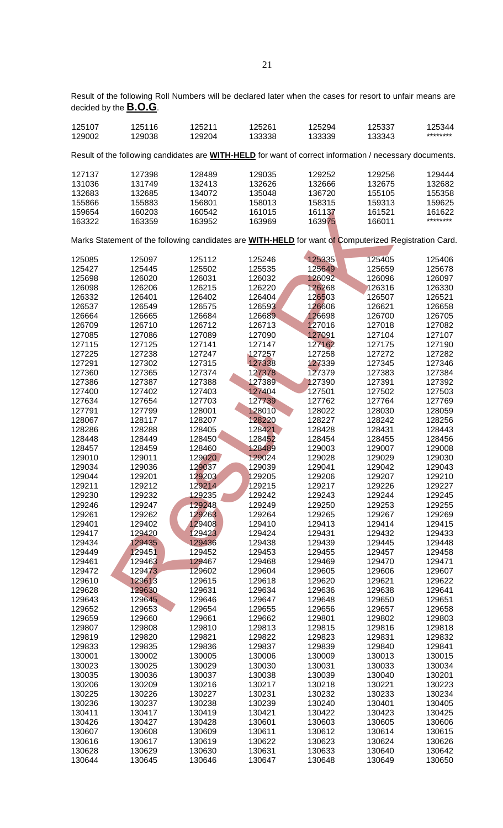Result of the following Roll Numbers will be declared later when the cases for resort to unfair means are decided by the **B.O.G**.

| 125107<br>129002                                                                                               | 125116<br>129038 | 125211<br>129204 | 125261<br>133338 | 125294<br>133339 | 125337<br>133343 | 125344<br>******** |  |
|----------------------------------------------------------------------------------------------------------------|------------------|------------------|------------------|------------------|------------------|--------------------|--|
| Result of the following candidates are <b>WITH-HELD</b> for want of correct information / necessary documents. |                  |                  |                  |                  |                  |                    |  |
| 127137                                                                                                         | 127398           | 128489           | 129035           | 129252           | 129256           | 129444             |  |
| 131036                                                                                                         | 131749           | 132413           | 132626           | 132666           | 132675           | 132682             |  |
|                                                                                                                |                  |                  |                  |                  |                  |                    |  |
| 132683                                                                                                         | 132685           | 134072           | 135048           | 136720           | 155105           | 155358             |  |
| 155866                                                                                                         | 155883           | 156801           | 158013           | 158315           | 159313           | 159625             |  |
| 159654                                                                                                         | 160203           | 160542           | 161015           | 161137           | 161521           | 161622             |  |
| 163322                                                                                                         | 163359           | 163952           | 163969           | 163975           | 166011           | ********           |  |
| Marks Statement of the following candidates are <b>WITH-HELD</b> for want of Computerized Registration Card.   |                  |                  |                  |                  |                  |                    |  |
|                                                                                                                |                  |                  |                  |                  |                  |                    |  |
| 125085                                                                                                         | 125097           | 125112           | 125246           | 125335           | 125405           | 125406             |  |
| 125427                                                                                                         | 125445           | 125502           | 125535           | 125649           | 125659           | 125678             |  |
| 125698                                                                                                         | 126020           | 126031           | 126032           | 126092           | 126096           | 126097             |  |
| 126098                                                                                                         | 126206           | 126215           | 126220           | 126268           | 126316           | 126330             |  |
| 126332                                                                                                         | 126401           | 126402           | 126404           | 126503           | 126507           | 126521             |  |
| 126537                                                                                                         | 126549           | 126575           | 126593           | 126606           | 126621           | 126658             |  |
| 126664                                                                                                         | 126665           | 126684           | 126689           | 126698           | 126700           | 126705             |  |
| 126709                                                                                                         | 126710           | 126712           | 126713           | 127016           | 127018           | 127082             |  |
|                                                                                                                |                  |                  |                  |                  |                  |                    |  |
| 127085                                                                                                         | 127086           | 127089           | 127090           | 127091           | 127104           | 127107             |  |
| 127115                                                                                                         | 127125           | 127141           | 127147           | 127162           | 127175           | 127190             |  |
| 127225                                                                                                         | 127238           | 127247           | 127257           | 127258           | 127272           | 127282             |  |
| 127291                                                                                                         | 127302           | 127315           | 127338           | 127339           | 127345           | 127346             |  |
| 127360                                                                                                         | 127365           | 127374           | 127378           | 127379           | 127383           | 127384             |  |
| 127386                                                                                                         | 127387           | 127388           | 127389           | 127390           | 127391           | 127392             |  |
| 127400                                                                                                         | 127402           | 127403           | 127404           | 127501           | 127502           | 127503             |  |
| 127634                                                                                                         | 127654           | 127703           | 127739           | 127762           | 127764           | 127769             |  |
|                                                                                                                |                  |                  |                  |                  |                  |                    |  |
| 127791                                                                                                         | 127799           | 128001           | 128010           | 128022           | 128030           | 128059             |  |
| 128067                                                                                                         | 128117           | 128207           | 128220           | 128227           | 128242           | 128256             |  |
| 128286                                                                                                         | 128288           | 128405           | 128421           | 128428           | 128431           | 128443             |  |
| 128448                                                                                                         | 128449           | 128450           | 128452           | 128454           | 128455           | 128456             |  |
| 128457                                                                                                         | 128459           | 128460           | 128489           | 129003           | 129007           | 129008             |  |
| 129010                                                                                                         | 129011           | 129020           | 129024           | 129028           | 129029           | 129030             |  |
| 129034                                                                                                         | 129036           | 129037           | 129039           | 129041           | 129042           | 129043             |  |
| 129044                                                                                                         | 129201           | 129203           | 129205           | 129206           | 129207           | 129210             |  |
| 129211                                                                                                         | 129212           | 129214           | 129215           | 129217           | 129226           | 129227             |  |
| 129230                                                                                                         | 129232           | 129235           | 129242           | 129243           | 129244           | 129245             |  |
|                                                                                                                |                  | 129248           |                  |                  |                  |                    |  |
| 129246                                                                                                         | 129247           |                  | 129249           | 129250           | 129253           | 129255             |  |
| 129261                                                                                                         | 129262           | 129263           | 129264           | 129265           | 129267           | 129269             |  |
| 129401                                                                                                         | 129402           | 129408           | 129410           | 129413           | 129414           | 129415             |  |
| 129417                                                                                                         | 129420           | 129423           | 129424           | 129431           | 129432           | 129433             |  |
| 129434                                                                                                         | 129435           | 129436           | 129438           | 129439           | 129445           | 129448             |  |
| 129449                                                                                                         | 129451           | 129452           | 129453           | 129455           | 129457           | 129458             |  |
| 129461                                                                                                         | 129463           | 129467           | 129468           | 129469           | 129470           | 129471             |  |
| 129472                                                                                                         | 129473           | 129602           | 129604           | 129605           | 129606           | 129607             |  |
| 129610                                                                                                         | 129613           | 129615           | 129618           | 129620           | 129621           | 129622             |  |
| 129628                                                                                                         | 129630           | 129631           | 129634           | 129636           | 129638           | 129641             |  |
| 129643                                                                                                         | 129645           | 129646           | 129647           | 129648           | 129650           | 129651             |  |
|                                                                                                                |                  |                  |                  |                  |                  |                    |  |
| 129652                                                                                                         | 129653           | 129654           | 129655           | 129656           | 129657           | 129658             |  |
| 129659                                                                                                         | 129660           | 129661           | 129662           | 129801           | 129802           | 129803             |  |
| 129807                                                                                                         | 129808           | 129810           | 129813           | 129815           | 129816           | 129818             |  |
| 129819                                                                                                         | 129820           | 129821           | 129822           | 129823           | 129831           | 129832             |  |
| 129833                                                                                                         | 129835           | 129836           | 129837           | 129839           | 129840           | 129841             |  |
| 130001                                                                                                         | 130002           | 130005           | 130006           | 130009           | 130013           | 130015             |  |
| 130023                                                                                                         | 130025           | 130029           | 130030           | 130031           | 130033           | 130034             |  |
| 130035                                                                                                         | 130036           | 130037           | 130038           | 130039           | 130040           | 130201             |  |
| 130206                                                                                                         | 130209           | 130216           | 130217           | 130218           | 130221           | 130223             |  |
| 130225                                                                                                         | 130226           | 130227           | 130231           | 130232           | 130233           | 130234             |  |
|                                                                                                                |                  |                  |                  |                  |                  |                    |  |
| 130236                                                                                                         | 130237           | 130238           | 130239           | 130240           | 130401           | 130405             |  |
| 130411                                                                                                         | 130417           | 130419           | 130421           | 130422           | 130423           | 130425             |  |
| 130426                                                                                                         | 130427           | 130428           | 130601           | 130603           | 130605           | 130606             |  |
| 130607                                                                                                         | 130608           | 130609           | 130611           | 130612           | 130614           | 130615             |  |
| 130616                                                                                                         | 130617           | 130619           | 130622           | 130623           | 130624           | 130626             |  |
| 130628                                                                                                         | 130629           | 130630           | 130631           | 130633           | 130640           | 130642             |  |
| 130644                                                                                                         | 130645           | 130646           | 130647           | 130648           | 130649           | 130650             |  |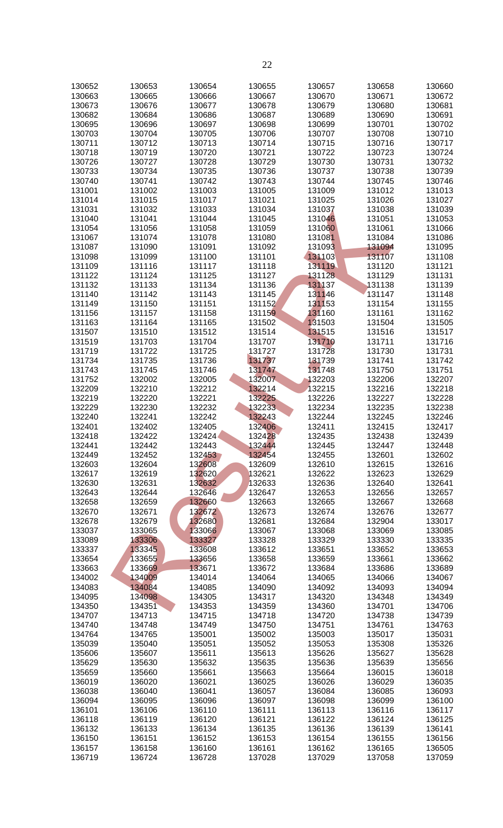| 130652 | 130653 | 130654 | 130655 | 130657 | 130658 | 130660 |
|--------|--------|--------|--------|--------|--------|--------|
| 130663 | 130665 | 130666 | 130667 | 130670 | 130671 | 130672 |
| 130673 | 130676 | 130677 | 130678 | 130679 | 130680 | 130681 |
| 130682 | 130684 | 130686 | 130687 | 130689 | 130690 | 130691 |
| 130695 | 130696 | 130697 | 130698 | 130699 | 130701 | 130702 |
|        |        |        |        |        |        |        |
| 130703 | 130704 | 130705 | 130706 | 130707 | 130708 | 130710 |
| 130711 | 130712 | 130713 | 130714 | 130715 | 130716 | 130717 |
| 130718 | 130719 | 130720 | 130721 | 130722 | 130723 | 130724 |
| 130726 | 130727 | 130728 | 130729 | 130730 | 130731 | 130732 |
| 130733 | 130734 | 130735 | 130736 | 130737 | 130738 | 130739 |
| 130740 | 130741 | 130742 | 130743 | 130744 | 130745 | 130746 |
| 131001 | 131002 | 131003 | 131005 | 131009 | 131012 | 131013 |
| 131014 | 131015 | 131017 | 131021 | 131025 | 131026 | 131027 |
| 131031 | 131032 | 131033 | 131034 | 131037 | 131038 | 131039 |
| 131040 | 131041 | 131044 | 131045 | 131046 | 131051 | 131053 |
| 131054 | 131056 | 131058 | 131059 | 131060 | 131061 | 131066 |
| 131067 | 131074 | 131078 | 131080 | 131081 | 131084 | 131086 |
| 131087 | 131090 | 131091 | 131092 | 131093 | 131094 | 131095 |
| 131098 | 131099 | 131100 | 131101 | 131103 | 131107 | 131108 |
| 131109 | 131116 | 131117 | 131118 | 131119 | 131120 | 131121 |
| 131122 | 131124 | 131125 | 131127 | 131128 | 131129 | 131131 |
| 131132 | 131133 | 131134 | 131136 | 131137 | 131138 | 131139 |
| 131140 | 131142 |        |        |        |        |        |
|        |        | 131143 | 131145 | 131146 | 131147 | 131148 |
| 131149 | 131150 | 131151 | 131152 | 131153 | 131154 | 131155 |
| 131156 | 131157 | 131158 | 131159 | 131160 | 131161 | 131162 |
| 131163 | 131164 | 131165 | 131502 | 131503 | 131504 | 131505 |
| 131507 | 131510 | 131512 | 131514 | 131515 | 131516 | 131517 |
| 131519 | 131703 | 131704 | 131707 | 131710 | 131711 | 131716 |
| 131719 | 131722 | 131725 | 131727 | 131728 | 131730 | 131731 |
| 131734 | 131735 | 131736 | 131737 | 131739 | 131741 | 131742 |
| 131743 | 131745 | 131746 | 131747 | 131748 | 131750 | 131751 |
| 131752 | 132002 | 132005 | 132007 | 132203 | 132206 | 132207 |
| 132209 | 132210 | 132212 | 132214 | 132215 | 132216 | 132218 |
| 132219 | 132220 | 132221 | 132225 | 132226 | 132227 | 132228 |
| 132229 | 132230 | 132232 | 132233 | 132234 | 132235 | 132238 |
| 132240 | 132241 | 132242 | 132243 | 132244 | 132245 | 132246 |
| 132401 | 132402 | 132405 | 132406 | 132411 | 132415 | 132417 |
| 132418 | 132422 | 132424 | 132428 | 132435 | 132438 | 132439 |
| 132441 | 132442 | 132443 | 132444 | 132445 | 132447 | 132448 |
| 132449 | 132452 | 132453 | 132454 | 132455 | 132601 | 132602 |
| 132603 | 132604 | 132608 | 132609 | 132610 | 132615 | 132616 |
|        |        |        |        |        |        |        |
| 132617 | 132619 | 132620 | 132621 | 132622 | 132623 | 132629 |
| 132630 | 132631 | 132632 | 132633 | 132636 | 132640 | 132641 |
| 132643 | 132644 | 132646 | 132647 | 132653 | 132656 | 132657 |
| 132658 | 132659 | 132660 | 132663 | 132665 | 132667 | 132668 |
| 132670 | 132671 | 132672 | 132673 | 132674 | 132676 | 132677 |
| 132678 | 132679 | 132680 | 132681 | 132684 | 132904 | 133017 |
| 133037 | 133065 | 133066 | 133067 | 133068 | 133069 | 133085 |
| 133089 | 133306 | 133327 | 133328 | 133329 | 133330 | 133335 |
| 133337 | 133345 | 133608 | 133612 | 133651 | 133652 | 133653 |
| 133654 | 133655 | 133656 | 133658 | 133659 | 133661 | 133662 |
| 133663 | 133669 | 133671 | 133672 | 133684 | 133686 | 133689 |
| 134002 | 134009 | 134014 | 134064 | 134065 | 134066 | 134067 |
| 134083 | 134084 | 134085 | 134090 | 134092 | 134093 | 134094 |
| 134095 | 134098 | 134305 | 134317 | 134320 | 134348 | 134349 |
| 134350 | 134351 | 134353 | 134359 | 134360 | 134701 | 134706 |
| 134707 | 134713 | 134715 | 134718 | 134720 | 134738 | 134739 |
| 134740 | 134748 | 134749 | 134750 | 134751 | 134761 | 134763 |
| 134764 | 134765 | 135001 | 135002 | 135003 | 135017 | 135031 |
| 135039 | 135040 | 135051 | 135052 | 135053 | 135308 | 135326 |
| 135606 | 135607 | 135611 | 135613 | 135626 | 135627 | 135628 |
| 135629 | 135630 | 135632 | 135635 | 135636 | 135639 | 135656 |
|        |        |        |        |        |        |        |
| 135659 | 135660 | 135661 | 135663 | 135664 | 136015 | 136018 |
| 136019 | 136020 | 136021 | 136025 | 136026 | 136029 | 136035 |
| 136038 | 136040 | 136041 | 136057 | 136084 | 136085 | 136093 |
| 136094 | 136095 | 136096 | 136097 | 136098 | 136099 | 136100 |
| 136101 | 136106 | 136110 | 136111 | 136113 | 136116 | 136117 |
| 136118 | 136119 | 136120 | 136121 | 136122 | 136124 | 136125 |
| 136132 | 136133 | 136134 | 136135 | 136136 | 136139 | 136141 |
| 136150 | 136151 | 136152 | 136153 | 136154 | 136155 | 136156 |
| 136157 | 136158 | 136160 | 136161 | 136162 | 136165 | 136505 |
| 136719 | 136724 | 136728 | 137028 | 137029 | 137058 | 137059 |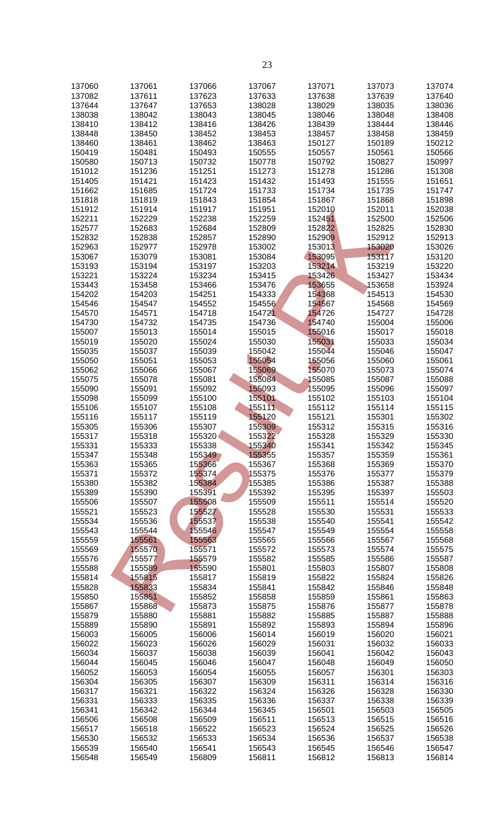| 137060 | 137061 | 137066 | 137067 | 137071 | 137073 | 137074 |
|--------|--------|--------|--------|--------|--------|--------|
| 137082 | 137611 | 137623 | 137633 | 137638 | 137639 | 137640 |
| 137644 | 137647 | 137653 | 138028 | 138029 | 138035 | 138036 |
|        |        |        |        |        |        |        |
| 138038 | 138042 | 138043 | 138045 | 138046 | 138048 | 138408 |
| 138410 | 138412 | 138416 | 138426 | 138439 | 138444 | 138446 |
| 138448 | 138450 | 138452 | 138453 | 138457 | 138458 | 138459 |
| 138460 | 138461 | 138462 | 138463 | 150127 | 150189 | 150212 |
| 150419 | 150481 | 150493 | 150555 | 150557 | 150561 | 150566 |
| 150580 | 150713 | 150732 | 150778 | 150792 | 150827 | 150997 |
| 151012 | 151236 | 151251 | 151273 | 151278 | 151286 | 151308 |
|        |        |        |        |        |        |        |
| 151405 | 151421 | 151423 | 151432 | 151493 | 151555 | 151651 |
| 151662 | 151685 | 151724 | 151733 | 151734 | 151735 | 151747 |
| 151818 | 151819 | 151843 | 151854 | 151867 | 151868 | 151898 |
| 151912 | 151914 | 151917 | 151951 | 152010 | 152011 | 152038 |
| 152211 | 152229 | 152238 | 152259 | 152451 | 152500 | 152506 |
| 152577 | 152683 | 152684 | 152809 | 152822 | 152825 | 152830 |
|        |        |        |        |        |        |        |
| 152832 | 152838 | 152857 | 152890 | 152909 | 152912 | 152913 |
| 152963 | 152977 | 152978 | 153002 | 153013 | 153020 | 153026 |
| 153067 | 153079 | 153081 | 153084 | 153095 | 153117 | 153120 |
| 153193 | 153194 | 153197 | 153203 | 153214 | 153219 | 153220 |
| 153221 | 153224 | 153234 | 153415 | 153426 | 153427 | 153434 |
| 153443 | 153458 | 153466 | 153476 | 153655 | 153658 | 153924 |
|        |        |        |        |        |        |        |
| 154202 | 154203 | 154251 | 154333 | 154368 | 154513 | 154530 |
| 154546 | 154547 | 154552 | 154556 | 154567 | 154568 | 154569 |
| 154570 | 154571 | 154718 | 154721 | 154726 | 154727 | 154728 |
| 154730 | 154732 | 154735 | 154736 | 154740 | 155004 | 155006 |
| 155007 | 155013 | 155014 | 155015 | 155016 | 155017 | 155018 |
| 155019 | 155020 | 155024 | 155030 | 155031 | 155033 | 155034 |
|        |        |        |        |        |        |        |
| 155035 | 155037 | 155039 | 155042 | 155044 | 155046 | 155047 |
| 155050 | 155051 | 155053 | 155054 | 155056 | 155060 | 155061 |
| 155062 | 155066 | 155067 | 155069 | 155070 | 155073 | 155074 |
| 155075 | 155078 | 155081 | 155084 | 155085 | 155087 | 155088 |
| 155090 | 155091 | 155092 | 155093 | 155095 | 155096 | 155097 |
| 155098 | 155099 | 155100 | 155101 | 155102 | 155103 | 155104 |
|        |        |        |        |        |        |        |
| 155106 | 155107 | 155108 | 155111 | 155112 | 155114 | 155115 |
| 155116 | 155117 | 155119 | 155120 | 155121 | 155301 | 155302 |
| 155305 | 155306 | 155307 | 155309 | 155312 | 155315 | 155316 |
| 155317 | 155318 | 155320 | 155322 | 155328 | 155329 | 155330 |
| 155331 | 155333 | 155338 | 155340 | 155341 | 155342 | 155345 |
| 155347 | 155348 | 155349 | 155355 | 155357 | 155359 | 155361 |
|        |        |        |        |        |        |        |
| 155363 | 155365 | 155366 | 155367 | 155368 | 155369 | 155370 |
| 155371 | 155372 | 155374 | 155375 | 155376 | 155377 | 155379 |
| 155380 | 155382 | 155384 | 155385 | 155386 | 155387 | 155388 |
| 155389 | 155390 | 155391 | 155392 | 155395 | 155397 | 155503 |
| 155506 | 155507 | 155508 | 155509 | 155511 | 155514 | 155520 |
| 155521 | 155523 | 155527 | 155528 | 155530 | 155531 | 155533 |
|        |        |        |        |        |        |        |
| 155534 | 155536 | 155537 | 155538 | 155540 | 155541 | 155542 |
| 155543 | 155544 | 155546 | 155547 | 155549 | 155554 | 155558 |
| 155559 | 155561 | 155563 | 155565 | 155566 | 155567 | 155568 |
| 155569 | 155570 | 155571 | 155572 | 155573 | 155574 | 155575 |
| 155576 | 155577 | 155579 | 155582 | 155585 | 155586 | 155587 |
| 155588 | 155589 | 155590 | 155801 | 155803 | 155807 | 155808 |
| 155814 | 155815 | 155817 | 155819 | 155822 | 155824 | 155826 |
|        |        |        |        |        |        |        |
| 155828 | 155833 | 155834 | 155841 | 155842 | 155846 | 155848 |
| 155850 | 155851 | 155852 | 155858 | 155859 | 155861 | 155863 |
| 155867 | 155868 | 155873 | 155875 | 155876 | 155877 | 155878 |
| 155879 | 155880 | 155881 | 155882 | 155885 | 155887 | 155888 |
| 155889 | 155890 | 155891 | 155892 | 155893 | 155894 | 155896 |
| 156003 | 156005 | 156006 | 156014 | 156019 | 156020 | 156021 |
|        |        |        |        |        |        |        |
| 156022 | 156023 | 156026 | 156029 | 156031 | 156032 | 156033 |
| 156034 | 156037 | 156038 | 156039 | 156041 | 156042 | 156043 |
| 156044 | 156045 | 156046 | 156047 | 156048 | 156049 | 156050 |
| 156052 | 156053 | 156054 | 156055 | 156057 | 156301 | 156303 |
| 156304 | 156305 | 156307 | 156309 | 156311 | 156314 | 156316 |
|        |        |        |        |        |        |        |
| 156317 | 156321 | 156322 | 156324 | 156326 | 156328 | 156330 |
| 156331 | 156333 | 156335 | 156336 | 156337 | 156338 | 156339 |
| 156341 | 156342 | 156344 | 156345 | 156501 | 156503 | 156505 |
| 156506 | 156508 | 156509 | 156511 | 156513 | 156515 | 156516 |
| 156517 | 156518 | 156522 | 156523 | 156524 | 156525 | 156526 |
| 156530 | 156532 | 156533 | 156534 | 156536 | 156537 | 156538 |
|        |        |        |        |        |        |        |
| 156539 | 156540 | 156541 | 156543 | 156545 | 156546 | 156547 |
| 156548 | 156549 | 156809 | 156811 | 156812 | 156813 | 156814 |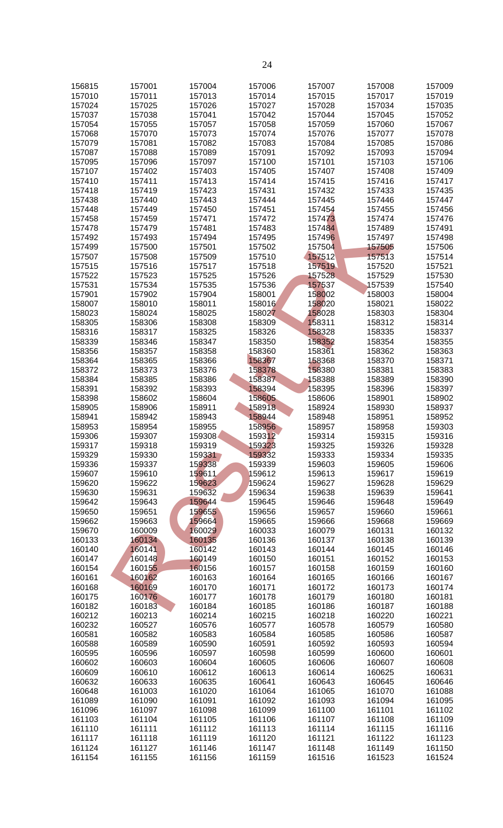| 156815 | 157001 | 157004 | 157006 | 157007 | 157008 | 157009 |
|--------|--------|--------|--------|--------|--------|--------|
| 157010 | 157011 | 157013 | 157014 | 157015 | 157017 | 157019 |
|        |        |        |        |        |        |        |
| 157024 | 157025 | 157026 | 157027 | 157028 | 157034 | 157035 |
| 157037 | 157038 | 157041 | 157042 | 157044 | 157045 | 157052 |
| 157054 | 157055 | 157057 | 157058 | 157059 | 157060 | 157067 |
| 157068 | 157070 | 157073 | 157074 | 157076 | 157077 | 157078 |
|        |        |        |        |        |        |        |
| 157079 | 157081 | 157082 | 157083 | 157084 | 157085 | 157086 |
| 157087 | 157088 | 157089 | 157091 | 157092 | 157093 | 157094 |
| 157095 | 157096 | 157097 | 157100 | 157101 | 157103 | 157106 |
| 157107 | 157402 | 157403 | 157405 | 157407 | 157408 | 157409 |
|        |        |        |        | 157415 |        |        |
| 157410 | 157411 | 157413 | 157414 |        | 157416 | 157417 |
| 157418 | 157419 | 157423 | 157431 | 157432 | 157433 | 157435 |
| 157438 | 157440 | 157443 | 157444 | 157445 | 157446 | 157447 |
| 157448 | 157449 | 157450 | 157451 | 157454 | 157455 | 157456 |
|        |        | 157471 | 157472 | 157473 | 157474 |        |
| 157458 | 157459 |        |        |        |        | 157476 |
| 157478 | 157479 | 157481 | 157483 | 157484 | 157489 | 157491 |
| 157492 | 157493 | 157494 | 157495 | 157496 | 157497 | 157498 |
| 157499 | 157500 | 157501 | 157502 | 157504 | 157505 | 157506 |
| 157507 | 157508 | 157509 | 157510 | 157512 | 157513 | 157514 |
|        |        |        |        |        |        |        |
| 157515 | 157516 | 157517 | 157518 | 157519 | 157520 | 157521 |
| 157522 | 157523 | 157525 | 157526 | 157528 | 157529 | 157530 |
| 157531 | 157534 | 157535 | 157536 | 157537 | 157539 | 157540 |
| 157901 | 157902 | 157904 | 158001 | 158002 | 158003 | 158004 |
|        |        |        | 158016 |        | 158021 |        |
| 158007 | 158010 | 158011 |        | 158020 |        | 158022 |
| 158023 | 158024 | 158025 | 158027 | 158028 | 158303 | 158304 |
| 158305 | 158306 | 158308 | 158309 | 158311 | 158312 | 158314 |
| 158316 | 158317 | 158325 | 158326 | 158328 | 158335 | 158337 |
| 158339 | 158346 | 158347 | 158350 | 158352 | 158354 | 158355 |
|        |        |        |        |        |        |        |
| 158356 | 158357 | 158358 | 158360 | 158361 | 158362 | 158363 |
| 158364 | 158365 | 158366 | 158367 | 158368 | 158370 | 158371 |
| 158372 | 158373 | 158376 | 158378 | 158380 | 158381 | 158383 |
| 158384 | 158385 | 158386 | 158387 | 158388 | 158389 | 158390 |
|        |        |        |        |        |        |        |
| 158391 | 158392 | 158393 | 158394 | 158395 | 158396 | 158397 |
| 158398 | 158602 | 158604 | 158605 | 158606 | 158901 | 158902 |
| 158905 | 158906 | 158911 | 158918 | 158924 | 158930 | 158937 |
| 158941 | 158942 | 158943 | 158944 | 158948 | 158951 | 158952 |
| 158953 | 158954 | 158955 | 158956 | 158957 | 158958 | 159303 |
|        |        |        |        |        |        |        |
| 159306 | 159307 | 159308 | 159312 | 159314 | 159315 | 159316 |
| 159317 | 159318 | 159319 | 159323 | 159325 | 159326 | 159328 |
| 159329 | 159330 | 159331 | 159332 | 159333 | 159334 | 159335 |
| 159336 | 159337 | 159338 | 159339 | 159603 | 159605 | 159606 |
|        |        |        |        |        |        |        |
| 159607 | 159610 | 159611 | 159612 | 159613 | 159617 | 159619 |
| 159620 | 159622 | 159623 | 159624 | 159627 | 159628 | 159629 |
| 159630 | 159631 | 159632 | 159634 | 159638 | 159639 | 159641 |
| 159642 | 159643 | 159644 | 159645 | 159646 | 159648 | 159649 |
| 159650 | 159651 | 159655 | 159656 | 159657 | 159660 | 159661 |
|        |        |        |        |        |        |        |
| 159662 | 159663 | 159664 | 159665 | 159666 | 159668 | 159669 |
| 159670 | 160009 | 160029 | 160033 | 160079 | 160131 | 160132 |
| 160133 | 160134 | 160135 | 160136 | 160137 | 160138 | 160139 |
| 160140 | 160141 | 160142 | 160143 | 160144 | 160145 | 160146 |
| 160147 | 160148 | 160149 | 160150 | 160151 | 160152 | 160153 |
|        |        |        |        |        |        |        |
| 160154 | 160155 | 160156 | 160157 | 160158 | 160159 | 160160 |
| 160161 | 160162 | 160163 | 160164 | 160165 | 160166 | 160167 |
| 160168 | 160169 | 160170 | 160171 | 160172 | 160173 | 160174 |
| 160175 | 160176 | 160177 | 160178 | 160179 | 160180 | 160181 |
|        |        |        |        |        |        |        |
| 160182 | 160183 | 160184 | 160185 | 160186 | 160187 | 160188 |
| 160212 | 160213 | 160214 | 160215 | 160218 | 160220 | 160221 |
| 160232 | 160527 | 160576 | 160577 | 160578 | 160579 | 160580 |
| 160581 | 160582 | 160583 | 160584 | 160585 | 160586 | 160587 |
| 160588 | 160589 | 160590 | 160591 | 160592 | 160593 | 160594 |
|        |        |        |        |        |        |        |
| 160595 | 160596 | 160597 | 160598 | 160599 | 160600 | 160601 |
| 160602 | 160603 | 160604 | 160605 | 160606 | 160607 | 160608 |
| 160609 | 160610 | 160612 | 160613 | 160614 | 160625 | 160631 |
| 160632 | 160633 | 160635 | 160641 | 160643 | 160645 | 160646 |
| 160648 | 161003 | 161020 | 161064 | 161065 | 161070 | 161088 |
|        |        |        |        |        |        |        |
| 161089 | 161090 | 161091 | 161092 | 161093 | 161094 | 161095 |
| 161096 | 161097 | 161098 | 161099 | 161100 | 161101 | 161102 |
| 161103 | 161104 | 161105 | 161106 | 161107 | 161108 | 161109 |
| 161110 | 161111 | 161112 | 161113 | 161114 | 161115 | 161116 |
|        |        |        |        |        | 161122 |        |
| 161117 | 161118 | 161119 | 161120 | 161121 |        | 161123 |
| 161124 | 161127 | 161146 | 161147 | 161148 | 161149 | 161150 |
| 161154 | 161155 | 161156 | 161159 | 161516 | 161523 | 161524 |